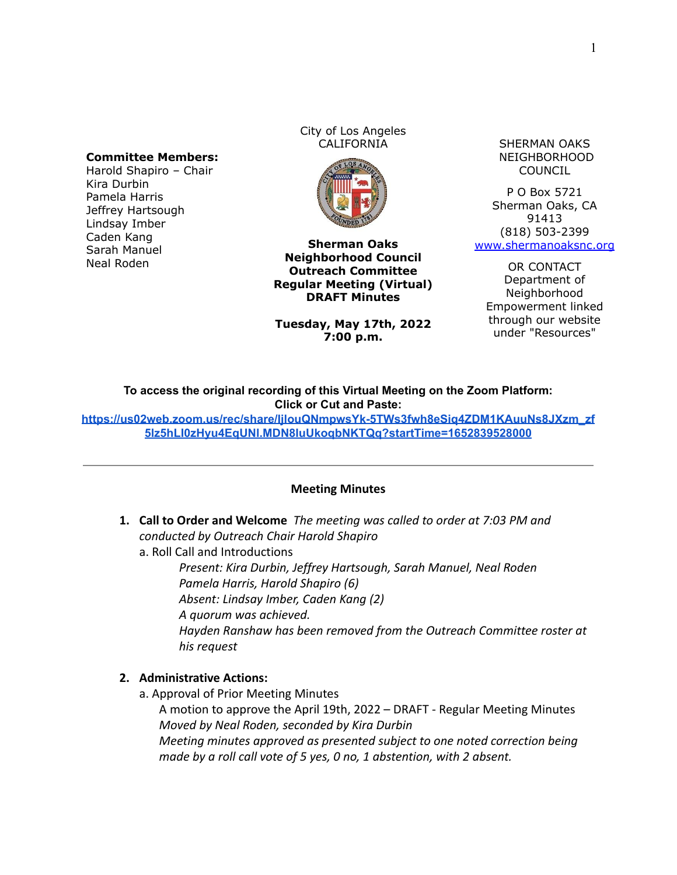### **Committee Members:**

Harold Shapiro – Chair Kira Durbin Pamela Harris Jeffrey Hartsough Lindsay Imber Caden Kang Sarah Manuel Neal Roden

City of Los Angeles



**Sherman Oaks Neighborhood Council Outreach Committee Regular Meeting (Virtual) DRAFT Minutes**

**Tuesday, May 17th, 2022 7:00 p.m.**

CALIFORNIA SHERMAN OAKS NEIGHBORHOOD COUNCIL

> P O Box 5721 Sherman Oaks, CA 91413 (818) 503-2399 [www.shermanoaksnc.org](http://www.shermanoaksnc.org/)

OR CONTACT Department of Neighborhood Empowerment linked through our website under "Resources"

**To access the original recording of this Virtual Meeting on the Zoom Platform: Click or Cut and Paste:**

**[https://us02web.zoom.us/rec/share/IjlouQNmpwsYk-5TWs3fwh8eSiq4ZDM1KAuuNs8JXzm\\_zf](https://us02web.zoom.us/rec/share/IjlouQNmpwsYk-5TWs3fwh8eSiq4ZDM1KAuuNs8JXzm_zf5lz5hLI0zHyu4EqUNl.MDN8IuUkoqbNKTQq?startTime=1652839528000) [5lz5hLI0zHyu4EqUNl.MDN8IuUkoqbNKTQq?startTime=1652839528000](https://us02web.zoom.us/rec/share/IjlouQNmpwsYk-5TWs3fwh8eSiq4ZDM1KAuuNs8JXzm_zf5lz5hLI0zHyu4EqUNl.MDN8IuUkoqbNKTQq?startTime=1652839528000)**

### **Meeting Minutes**

**1. Call to Order and Welcome** *The meeting was called to order at 7:03 PM and conducted by Outreach Chair Harold Shapiro*

a. Roll Call and Introductions

*Present: Kira Durbin, Jeffrey Hartsough, Sarah Manuel, Neal Roden Pamela Harris, Harold Shapiro (6) Absent: Lindsay Imber, Caden Kang (2) A quorum was achieved. Hayden Ranshaw has been removed from the Outreach Committee roster at his request*

## **2. Administrative Actions:**

a. Approval of Prior Meeting Minutes

A motion to approve the April 19th, 2022 – DRAFT - Regular Meeting Minutes *Moved by Neal Roden, seconded by Kira Durbin*

*Meeting minutes approved as presented subject to one noted correction being made by a roll call vote of 5 yes, 0 no, 1 abstention, with 2 absent.*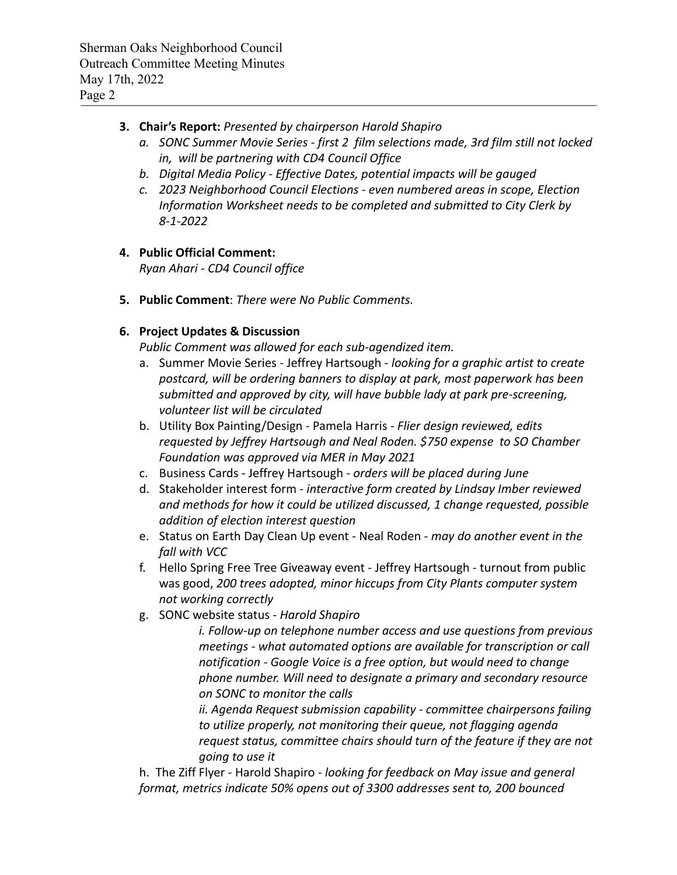# **3. Chair's Report:** *Presented by chairperson Harold Shapiro*

- *a. SONC Summer Movie Series first 2 film selections made, 3rd film still not locked in, will be partnering with CD4 Council Office*
- *b. Digital Media Policy Effective Dates, potential impacts will be gauged*
- *c. 2023 Neighborhood Council Elections even numbered areas in scope, Election Information Worksheet needs to be completed and submitted to City Clerk by 8-1-2022*

# **4. Public Official Comment:**

*Ryan Ahari - CD4 Council office*

**5. Public Comment**: *There were No Public Comments.*

# **6. Project Updates & Discussion**

*Public Comment was allowed for each sub-agendized item.*

- a. Summer Movie Series Jeffrey Hartsough *looking for a graphic artist to create postcard, will be ordering banners to display at park, most paperwork has been submitted and approved by city, will have bubble lady at park pre-screening, volunteer list will be circulated*
- b. Utility Box Painting/Design Pamela Harris  *Flier design reviewed, edits requested by Jeffrey Hartsough and Neal Roden. \$750 expense to SO Chamber Foundation was approved via MER in May 2021*
- c. Business Cards Jeffrey Hartsough  *orders will be placed during June*
- d. Stakeholder interest form *interactive form created by Lindsay Imber reviewed and methods for how it could be utilized discussed, 1 change requested, possible addition of election interest question*
- e. Status on Earth Day Clean Up event Neal Roden *may do another event in the fall with VCC*
- f. Hello Spring Free Tree Giveaway event Jeffrey Hartsough turnout from public was good, *200 trees adopted, minor hiccups from City Plants computer system not working correctly*
- g. SONC website status *Harold Shapiro*

*i. Follow-up on telephone number access and use questions from previous meetings - what automated options are available for transcription or call notification - Google Voice is a free option, but would need to change phone number. Will need to designate a primary and secondary resource on SONC to monitor the calls*

*ii. Agenda Request submission capability - committee chairpersons failing to utilize properly, not monitoring their queue, not flagging agenda request status, committee chairs should turn of the feature if they are not going to use it*

h. The Ziff Flyer - Harold Shapiro *- looking for feedback on May issue and general format, metrics indicate 50% opens out of 3300 addresses sent to, 200 bounced*